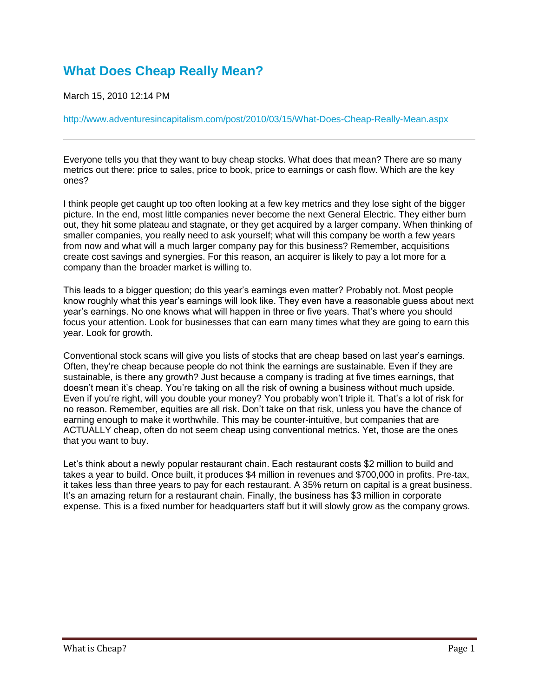## **[What Does Cheap Really Mean?](http://www.adventuresincapitalism.com/post/2010/03/15/What-Does-Cheap-Really-Mean.aspx)**

March 15, 2010 12:14 PM

<http://www.adventuresincapitalism.com/post/2010/03/15/What-Does-Cheap-Really-Mean.aspx>

Everyone tells you that they want to buy cheap stocks. What does that mean? There are so many metrics out there: price to sales, price to book, price to earnings or cash flow. Which are the key ones?

I think people get caught up too often looking at a few key metrics and they lose sight of the bigger picture. In the end, most little companies never become the next General Electric. They either burn out, they hit some plateau and stagnate, or they get acquired by a larger company. When thinking of smaller companies, you really need to ask yourself; what will this company be worth a few years from now and what will a much larger company pay for this business? Remember, acquisitions create cost savings and synergies. For this reason, an acquirer is likely to pay a lot more for a company than the broader market is willing to.

This leads to a bigger question; do this year's earnings even matter? Probably not. Most people know roughly what this year's earnings will look like. They even have a reasonable guess about next year's earnings. No one knows what will happen in three or five years. That's where you should focus your attention. Look for businesses that can earn many times what they are going to earn this year. Look for growth.

Conventional stock scans will give you lists of stocks that are cheap based on last year's earnings. Often, they're cheap because people do not think the earnings are sustainable. Even if they are sustainable, is there any growth? Just because a company is trading at five times earnings, that doesn't mean it's cheap. You're taking on all the risk of owning a business without much upside. Even if you're right, will you double your money? You probably won't triple it. That's a lot of risk for no reason. Remember, equities are all risk. Don't take on that risk, unless you have the chance of earning enough to make it worthwhile. This may be counter-intuitive, but companies that are ACTUALLY cheap, often do not seem cheap using conventional metrics. Yet, those are the ones that you want to buy.

Let's think about a newly popular restaurant chain. Each restaurant costs \$2 million to build and takes a year to build. Once built, it produces \$4 million in revenues and \$700,000 in profits. Pre-tax, it takes less than three years to pay for each restaurant. A 35% return on capital is a great business. It's an amazing return for a restaurant chain. Finally, the business has \$3 million in corporate expense. This is a fixed number for headquarters staff but it will slowly grow as the company grows.